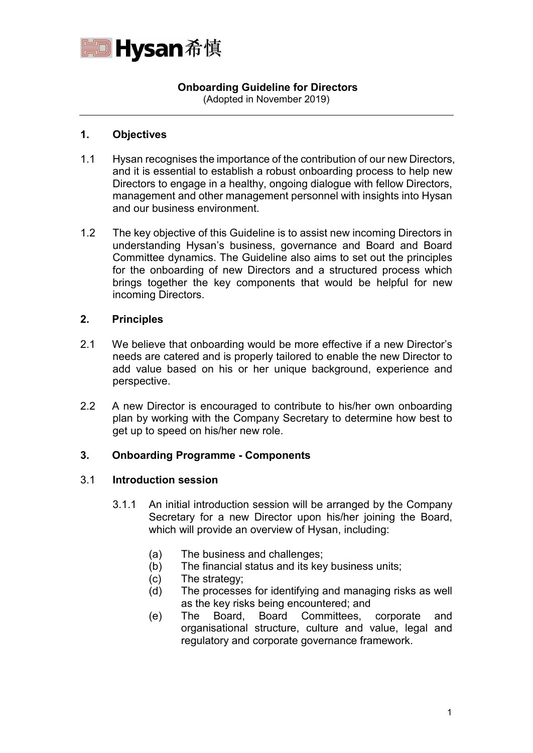

# **Onboarding Guideline for Directors**

(Adopted in November 2019)

# **1. Objectives**

- 1.1 Hysan recognises the importance of the contribution of our new Directors, and it is essential to establish a robust onboarding process to help new Directors to engage in a healthy, ongoing dialogue with fellow Directors, management and other management personnel with insights into Hysan and our business environment.
- 1.2 The key objective of this Guideline is to assist new incoming Directors in understanding Hysan's business, governance and Board and Board Committee dynamics. The Guideline also aims to set out the principles for the onboarding of new Directors and a structured process which brings together the key components that would be helpful for new incoming Directors.

### **2. Principles**

- 2.1 We believe that onboarding would be more effective if a new Director's needs are catered and is properly tailored to enable the new Director to add value based on his or her unique background, experience and perspective.
- 2.2 A new Director is encouraged to contribute to his/her own onboarding plan by working with the Company Secretary to determine how best to get up to speed on his/her new role.

# **3. Onboarding Programme - Components**

### 3.1 **Introduction session**

- 3.1.1 An initial introduction session will be arranged by the Company Secretary for a new Director upon his/her joining the Board, which will provide an overview of Hysan, including:
	- (a) The business and challenges;
	- (b) The financial status and its key business units;
	- (c) The strategy;
	- (d) The processes for identifying and managing risks as well as the key risks being encountered; and
	- (e) The Board, Board Committees, corporate and organisational structure, culture and value, legal and regulatory and corporate governance framework.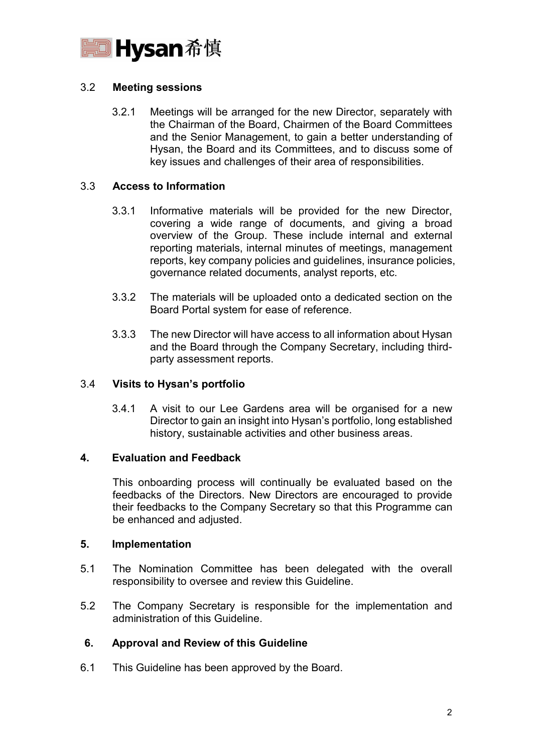

# 3.2 **Meeting sessions**

3.2.1 Meetings will be arranged for the new Director, separately with the Chairman of the Board, Chairmen of the Board Committees and the Senior Management, to gain a better understanding of Hysan, the Board and its Committees, and to discuss some of key issues and challenges of their area of responsibilities.

### 3.3 **Access to Information**

- 3.3.1 Informative materials will be provided for the new Director, covering a wide range of documents, and giving a broad overview of the Group. These include internal and external reporting materials, internal minutes of meetings, management reports, key company policies and guidelines, insurance policies, governance related documents, analyst reports, etc.
- 3.3.2 The materials will be uploaded onto a dedicated section on the Board Portal system for ease of reference.
- 3.3.3 The new Director will have access to all information about Hysan and the Board through the Company Secretary, including thirdparty assessment reports.

### 3.4 **Visits to Hysan's portfolio**

3.4.1 A visit to our Lee Gardens area will be organised for a new Director to gain an insight into Hysan's portfolio, long established history, sustainable activities and other business areas.

### **4. Evaluation and Feedback**

This onboarding process will continually be evaluated based on the feedbacks of the Directors. New Directors are encouraged to provide their feedbacks to the Company Secretary so that this Programme can be enhanced and adjusted.

### **5. Implementation**

- 5.1 The Nomination Committee has been delegated with the overall responsibility to oversee and review this Guideline.
- 5.2 The Company Secretary is responsible for the implementation and administration of this Guideline.

# **6. Approval and Review of this Guideline**

6.1 This Guideline has been approved by the Board.